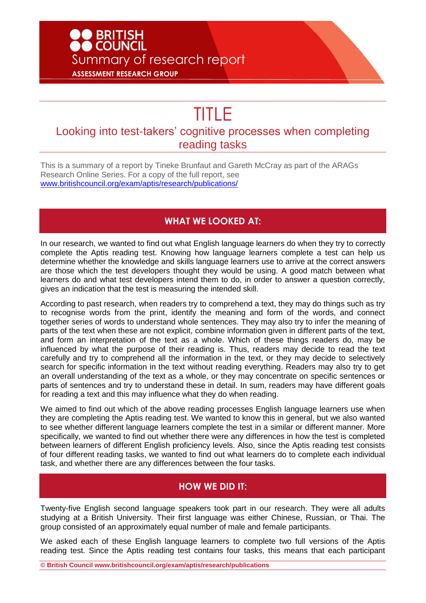# **D** BRITISH<br>D COUNCIL Summary of research report **ASSESSMENT RESEARCH GROUP**

# TITLE

# Looking into test-takers' cognitive processes when completing reading tasks

This is a summary of a report by Tineke Brunfaut and Gareth McCray as part of the ARAGs Research Online Series. For a copy of the full report, see [www.britishcouncil.org/exam/aptis/research/publications/](http://www.britishcouncil.org/exam/aptis/research/publications/)

#### **WHAT WE LOOKED AT:**

In our research, we wanted to find out what English language learners do when they try to correctly complete the Aptis reading test. Knowing how language learners complete a test can help us determine whether the knowledge and skills language learners use to arrive at the correct answers are those which the test developers thought they would be using. A good match between what learners do and what test developers intend them to do, in order to answer a question correctly, gives an indication that the test is measuring the intended skill.

According to past research, when readers try to comprehend a text, they may do things such as try to recognise words from the print, identify the meaning and form of the words, and connect together series of words to understand whole sentences. They may also try to infer the meaning of parts of the text when these are not explicit, combine information given in different parts of the text, and form an interpretation of the text as a whole. Which of these things readers do, may be influenced by what the purpose of their reading is. Thus, readers may decide to read the text carefully and try to comprehend all the information in the text, or they may decide to selectively search for specific information in the text without reading everything. Readers may also try to get an overall understanding of the text as a whole, or they may concentrate on specific sentences or parts of sentences and try to understand these in detail. In sum, readers may have different goals for reading a text and this may influence what they do when reading.

We aimed to find out which of the above reading processes English language learners use when they are completing the Aptis reading test. We wanted to know this in general, but we also wanted to see whether different language learners complete the test in a similar or different manner. More specifically, we wanted to find out whether there were any differences in how the test is completed between learners of different English proficiency levels. Also, since the Aptis reading test consists of four different reading tasks, we wanted to find out what learners do to complete each individual task, and whether there are any differences between the four tasks.

## **HOW WE DID IT:**

Twenty-five English second language speakers took part in our research. They were all adults studying at a British University. Their first language was either Chinese, Russian, or Thai. The group consisted of an approximately equal number of male and female participants.

We asked each of these English language learners to complete two full versions of the Aptis reading test. Since the Aptis reading test contains four tasks, this means that each participant